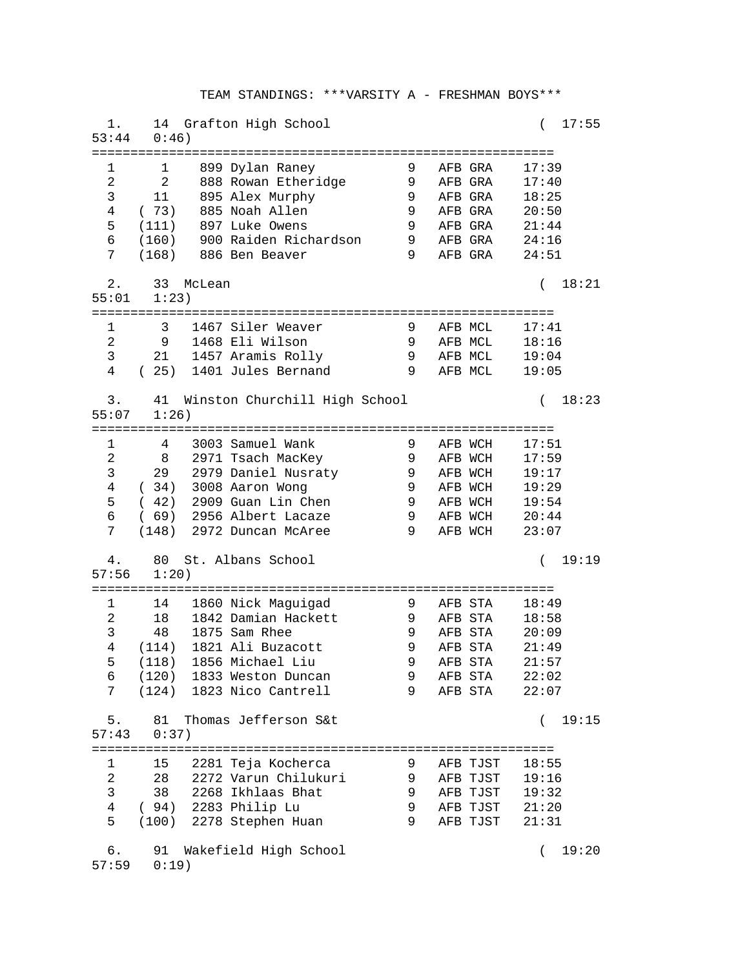| 1.             | $53:44$ $0:46$ )                                               |                   | 14 Grafton High School                             |        |                                  | 17:55<br>$\left($ |  |  |  |
|----------------|----------------------------------------------------------------|-------------------|----------------------------------------------------|--------|----------------------------------|-------------------|--|--|--|
| 1              | 1                                                              |                   | 899 Dylan Raney                                    | 9      | AFB GRA                          | 17:39             |  |  |  |
| 2              | 2                                                              |                   | 888 Rowan Etheridge 9                              |        | AFB GRA                          | 17:40             |  |  |  |
| 3              | 11                                                             |                   | 895 Alex Murphy                                    | 9      | AFB GRA                          | 18:25             |  |  |  |
| 4              | (73)                                                           |                   | 885 Noah Allen                                     | 9      | AFB GRA                          | 20:50             |  |  |  |
| 5              | (111)                                                          |                   | 897 Luke Owens                                     | 9      | AFB GRA 21:44                    |                   |  |  |  |
| 6              |                                                                |                   | (160) 900 Raiden Richardson                        | 9      | AFB GRA   24:16                  |                   |  |  |  |
| 7              |                                                                |                   | (168) 886 Ben Beaver                               | 9      | AFB GRA   24:51                  |                   |  |  |  |
| $2$ .<br>55:01 | 18:21<br>33 McLean<br>$\left($<br>1:23)                        |                   |                                                    |        |                                  |                   |  |  |  |
| 1              | 3                                                              |                   | 1467 Siler Weaver                                  | 9      | AFB MCL                          | 17:41             |  |  |  |
| $\overline{2}$ |                                                                |                   | 9 1468 Eli Wilson                                  | 9      | AFB MCL 18:16                    |                   |  |  |  |
| $\mathsf{3}$   |                                                                |                   | 21 1457 Aramis Rolly                               | 9      | AFB MCL 19:04                    |                   |  |  |  |
| $\overline{4}$ |                                                                |                   | (25) 1401 Jules Bernand                            | 9      | AFB MCL 19:05                    |                   |  |  |  |
| 3.<br>55:07    | 41 Winston Churchill High School<br>18:23<br>$\left($<br>1:26) |                   |                                                    |        |                                  |                   |  |  |  |
|                |                                                                |                   |                                                    |        |                                  |                   |  |  |  |
| 1              |                                                                |                   | 4 3003 Samuel Wank                                 | 9      | AFB WCH                          | 17:51             |  |  |  |
| 2              | 8                                                              |                   | 2971 Tsach MacKey                                  | 9      | AFB WCH                          | 17:59             |  |  |  |
| 3              |                                                                |                   | 29 2979 Daniel Nusraty                             | 9      | AFB WCH                          | 19:17             |  |  |  |
| $\overline{4}$ |                                                                |                   | (34) 3008 Aaron Wong                               | 9      | AFB WCH                          | 19:29             |  |  |  |
| 5              |                                                                |                   | $(42)$ 2909 Guan Lin Chen                          | 9      | AFB WCH                          | 19:54             |  |  |  |
| 6              |                                                                |                   | (69) 2956 Albert Lacaze                            | 9      | AFB WCH                          | 20:44             |  |  |  |
| 7              |                                                                |                   | (148) 2972 Duncan McAree                           | 9      | AFB WCH                          | 23:07             |  |  |  |
| 4.<br>57:56    | 80 St. Albans School<br>19:19<br>$\left($<br>1:20)             |                   |                                                    |        |                                  |                   |  |  |  |
| 1              |                                                                |                   | 14 1860 Nick Maguigad                              | 9      | AFB STA                          | 18:49             |  |  |  |
| 2              | 18                                                             |                   | 1842 Damian Hackett                                | 9      | AFB STA                          | 18:58             |  |  |  |
| 3              | 48                                                             |                   | 1875 Sam Rhee                                      | 9      | AFB STA                          | 20:09             |  |  |  |
| 4              | (114)                                                          |                   | 1821 Ali Buzacott                                  | 9      | AFB STA                          | 21:49             |  |  |  |
| 5              |                                                                |                   | (118) 1856 Michael Liu                             | 9      | AFB STA                          | 21:57             |  |  |  |
| 6              |                                                                |                   | (120) 1833 Weston Duncan                           | 9      | AFB STA                          | 22:02             |  |  |  |
|                |                                                                |                   | 7 (124) 1823 Nico Cantrell                         | 9      | AFB STA                          | 22:07             |  |  |  |
| 57:43          | 5. 81 Thomas Jefferson S&t<br>0:37)                            | 19:15<br>$\left($ |                                                    |        |                                  |                   |  |  |  |
|                |                                                                |                   |                                                    |        |                                  |                   |  |  |  |
| ı              |                                                                |                   | 15 2281 Teja Kocherca                              | 9      | AFB TJST                         | 18:55             |  |  |  |
| $\overline{2}$ |                                                                |                   | 28 2272 Varun Chilukuri                            |        | 9 AFB TJST 19:16                 |                   |  |  |  |
| $\mathsf{3}$   |                                                                |                   | 38 2268 Ikhlaas Bhat                               |        | 9 AFB TJST 19:32                 |                   |  |  |  |
|                |                                                                |                   | 4 (94) 2283 Philip Lu<br>5 (100) 2278 Stephen Huan | 9<br>9 | AFB TJST 21:20<br>AFB TJST 21:31 |                   |  |  |  |
|                |                                                                |                   |                                                    |        |                                  |                   |  |  |  |
| б.             | 91 Wakefield High School<br>$57:59$ $0:19$ )                   | 19:20<br>$\left($ |                                                    |        |                                  |                   |  |  |  |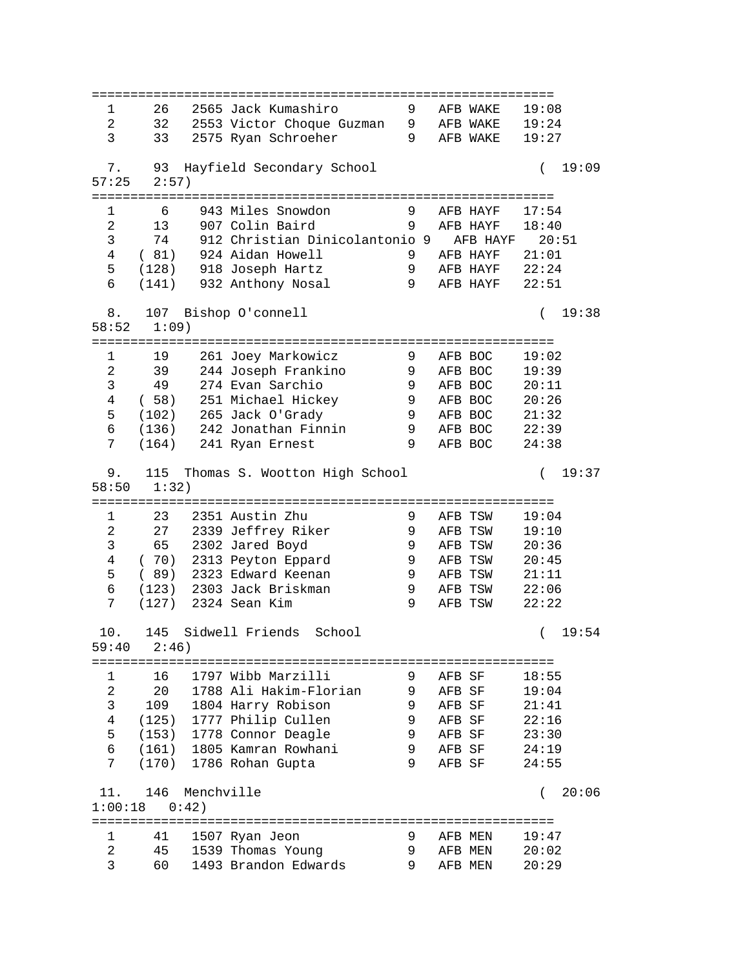============================================================ 1 26 2565 Jack Kumashiro 9 AFB WAKE 19:08 2 32 2553 Victor Choque Guzman 9 AFB WAKE 19:24 3 33 2575 Ryan Schroeher 9 AFB WAKE 19:27 7. 93 Hayfield Secondary School ( 19:09 57:25 2:57) ============================================================ 1 6 943 Miles Snowdon 9 AFB HAYF 17:54 2 13 907 Colin Baird 9 AFB HAYF 18:40 3 74 912 Christian Dinicolantonio 9 AFB HAYF 20:51 4 ( 81) 924 Aidan Howell 9 AFB HAYF 21:01 5 (128) 918 Joseph Hartz 9 AFB HAYF 22:24 6 (141) 932 Anthony Nosal 9 AFB HAYF 22:51 8. 107 Bishop O'connell ( 19:38 58:52 1:09) ============================================================ 1 19 261 Joey Markowicz 9 AFB BOC 19:02 2 39 244 Joseph Frankino 9 AFB BOC 19:39 3 49 274 Evan Sarchio 9 AFB BOC 20:11 4 ( 58) 251 Michael Hickey 9 AFB BOC 20:26 5 (102) 265 Jack O'Grady 9 AFB BOC 21:32 6 (136) 242 Jonathan Finnin 9 AFB BOC 22:39 7 (164) 241 Ryan Ernest 9 AFB BOC 24:38 9. 115 Thomas S. Wootton High School ( 19:37 58:50 1:32) ============================================================ 1 23 2351 Austin Zhu 9 AFB TSW 19:04 2 27 2339 Jeffrey Riker 9 AFB TSW 19:10 3 65 2302 Jared Boyd 9 AFB TSW 20:36 4 ( 70) 2313 Peyton Eppard 9 AFB TSW 20:45 5 ( 89) 2323 Edward Keenan 9 AFB TSW 21:11 6 (123) 2303 Jack Briskman 9 AFB TSW 22:06 7 (127) 2324 Sean Kim 9 AFB TSW 22:22 10. 145 Sidwell Friends School ( 19:54 59:40 2:46) ============================================================ 1 16 1797 Wibb Marzilli 9 AFB SF 18:55 2 20 1788 Ali Hakim-Florian 9 AFB SF 19:04 3 109 1804 Harry Robison 9 AFB SF 21:41 4 (125) 1777 Philip Cullen 9 AFB SF 22:16 5 (153) 1778 Connor Deagle 9 AFB SF 23:30 6 (161) 1805 Kamran Rowhani 9 AFB SF 24:19 7 (170) 1786 Rohan Gupta 9 AFB SF 24:55 11. 146 Menchville ( 20:06 1:00:18 0:42) ============================================================ 1 41 1507 Ryan Jeon 9 AFB MEN 19:47 2 45 1539 Thomas Young 9 AFB MEN 20:02 3 60 1493 Brandon Edwards 9 AFB MEN 20:29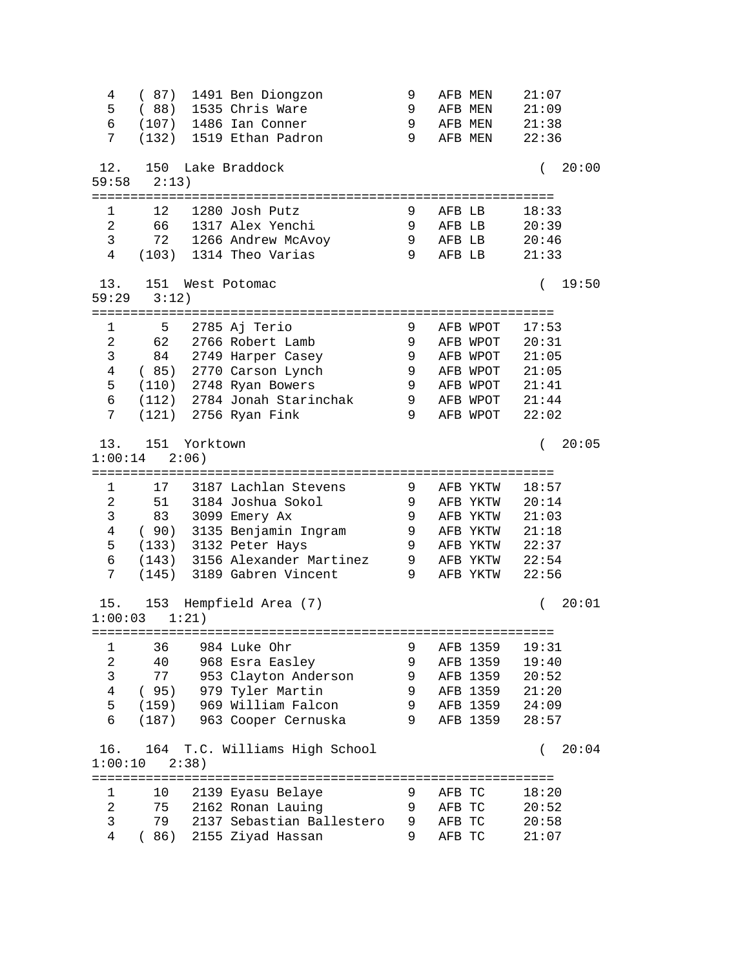4 ( 87) 1491 Ben Diongzon 9 AFB MEN 21:07 5 ( 88) 1535 Chris Ware 9 AFB MEN 21:09 6 (107) 1486 Ian Conner 9 AFB MEN 21:38 7 (132) 1519 Ethan Padron 9 AFB MEN 22:36 12. 150 Lake Braddock ( 20:00 59:58 2:13) ============================================================ 1 12 1280 Josh Putz 9 AFB LB 18:33 2 66 1317 Alex Yenchi 9 AFB LB 20:39 3 72 1266 Andrew McAvoy 9 AFB LB 20:46 4 (103) 1314 Theo Varias 9 AFB LB 21:33 13. 151 West Potomac ( 19:50 59:29 3:12) ============================================================ 1 5 2785 Aj Terio 9 AFB WPOT 17:53 2 62 2766 Robert Lamb 9 AFB WPOT 20:31 3 84 2749 Harper Casey 9 AFB WPOT 21:05 4 ( 85) 2770 Carson Lynch 9 AFB WPOT 21:05 5 (110) 2748 Ryan Bowers 9 AFB WPOT 21:41 6 (112) 2784 Jonah Starinchak 9 AFB WPOT 21:44 7 (121) 2756 Ryan Fink 9 AFB WPOT 22:02 13. 151 Yorktown ( 20:05 1:00:14 2:06) ============================================================ 1 17 3187 Lachlan Stevens 9 AFB YKTW 18:57 2 51 3184 Joshua Sokol 9 AFB YKTW 20:14 3 83 3099 Emery Ax 9 AFB YKTW 21:03 4 ( 90) 3135 Benjamin Ingram 9 AFB YKTW 21:18 5 (133) 3132 Peter Hays 9 AFB YKTW 22:37 6 (143) 3156 Alexander Martinez 9 AFB YKTW 22:54 7 (145) 3189 Gabren Vincent 9 AFB YKTW 22:56 15. 153 Hempfield Area (7) ( 20:01 1:00:03 1:21) ============================================================ 1 36 984 Luke Ohr 9 AFB 1359 19:31 2 40 968 Esra Easley 9 AFB 1359 19:40 3 77 953 Clayton Anderson 9 AFB 1359 20:52 4 ( 95) 979 Tyler Martin 9 AFB 1359 21:20 5 (159) 969 William Falcon 9 AFB 1359 24:09 6 (187) 963 Cooper Cernuska 9 AFB 1359 28:57 16. 164 T.C. Williams High School ( 20:04 1:00:10 2:38) ============================================================ 1 10 2139 Eyasu Belaye 9 AFB TC 18:20 2 75 2162 Ronan Lauing 9 AFB TC 20:52 3 79 2137 Sebastian Ballestero 9 AFB TC 20:58 4 ( 86) 2155 Ziyad Hassan 9 AFB TC 21:07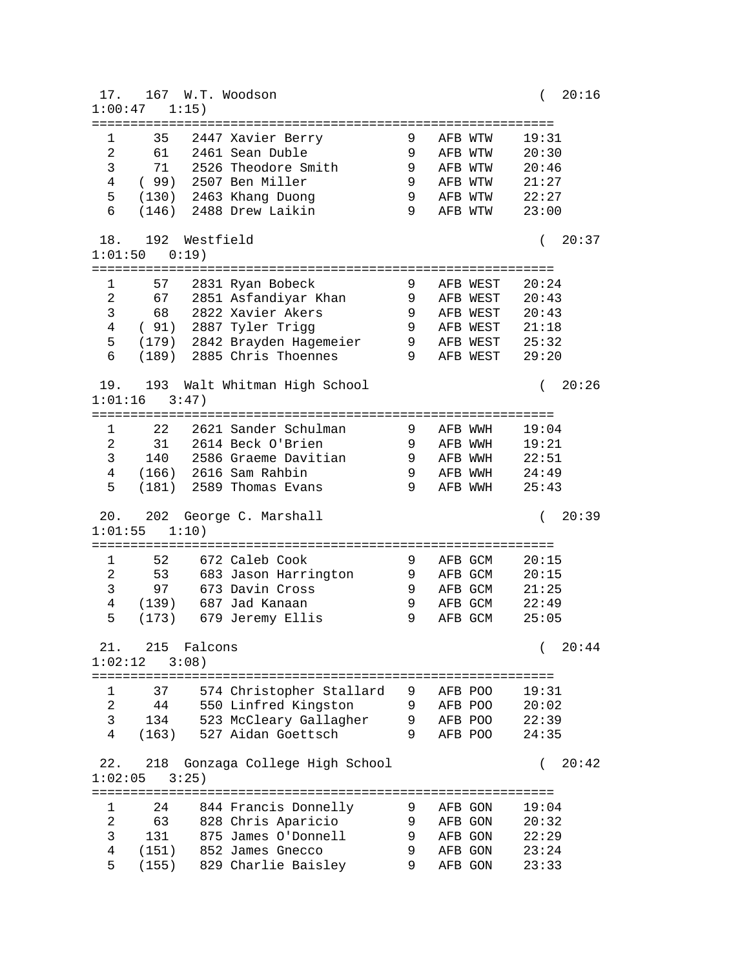17. 167 W.T. Woodson ( 20:16 1:00:47 1:15) ============================================================ 1 35 2447 Xavier Berry 9 AFB WTW 19:31 2 61 2461 Sean Duble 9 AFB WTW 20:30 3 71 2526 Theodore Smith 9 AFB WTW 20:46 4 ( 99) 2507 Ben Miller 9 AFB WTW 21:27 5 (130) 2463 Khang Duong 9 AFB WTW 22:27 6 (146) 2488 Drew Laikin 9 AFB WTW 23:00 18. 192 Westfield ( 20:37 1:01:50 0:19) ============================================================ 1 57 2831 Ryan Bobeck 9 AFB WEST 20:24 2 67 2851 Asfandiyar Khan 9 AFB WEST 20:43 3 68 2822 Xavier Akers 9 AFB WEST 20:43 4 ( 91) 2887 Tyler Trigg 9 AFB WEST 21:18 5 (179) 2842 Brayden Hagemeier 9 AFB WEST 25:32 6 (189) 2885 Chris Thoennes 9 AFB WEST 29:20 19. 193 Walt Whitman High School ( 20:26 1:01:16 3:47) ============================================================ 1 22 2621 Sander Schulman 9 AFB WWH 19:04 2 31 2614 Beck O'Brien 9 AFB WWH 19:21 3 140 2586 Graeme Davitian 9 AFB WWH 22:51 4 (166) 2616 Sam Rahbin 9 AFB WWH 24:49 5 (181) 2589 Thomas Evans 9 AFB WWH 25:43 20. 202 George C. Marshall ( 20:39 1:01:55 1:10) ============================================================ 1 52 672 Caleb Cook 9 AFB GCM 20:15 2 53 683 Jason Harrington 9 AFB GCM 20:15 3 97 673 Davin Cross 9 AFB GCM 21:25 4 (139) 687 Jad Kanaan 9 AFB GCM 22:49 5 (173) 679 Jeremy Ellis 9 AFB GCM 25:05 21. 215 Falcons ( 20:44 1:02:12 3:08) ============================================================ 1 37 574 Christopher Stallard 9 AFB POO 19:31 2 44 550 Linfred Kingston 9 AFB POO 20:02 3 134 523 McCleary Gallagher 9 AFB POO 22:39 4 (163) 527 Aidan Goettsch 9 AFB POO 24:35 22. 218 Gonzaga College High School ( 20:42 1:02:05 3:25) ============================================================ 1 24 844 Francis Donnelly 9 AFB GON 19:04 2 63 828 Chris Aparicio 9 AFB GON 20:32 3 131 875 James O'Donnell 9 AFB GON 22:29 4 (151) 852 James Gnecco 9 AFB GON 23:24 5 (155) 829 Charlie Baisley 9 AFB GON 23:33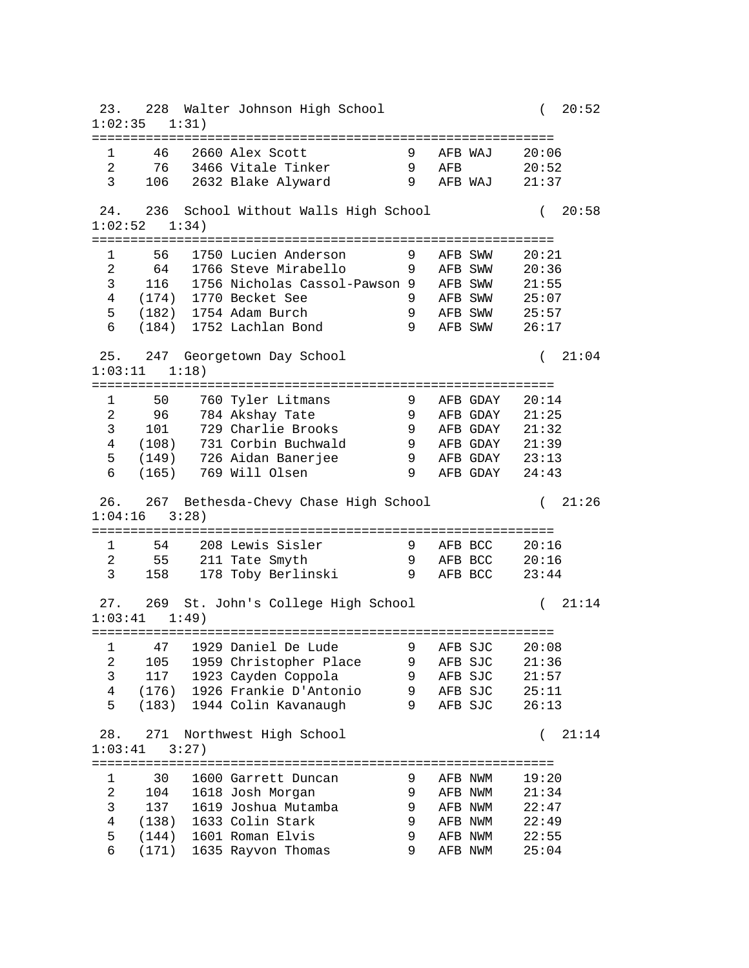23. 228 Walter Johnson High School ( 20:52 1:02:35 1:31) ============================================================ 1 46 2660 Alex Scott 9 AFB WAJ 20:06 2 76 3466 Vitale Tinker 9 AFB 20:52 3 106 2632 Blake Alyward 9 AFB WAJ 21:37 24. 236 School Without Walls High School ( 20:58 1:02:52 1:34) ============================================================ 1 56 1750 Lucien Anderson 9 AFB SWW 20:21 2 64 1766 Steve Mirabello 9 AFB SWW 20:36 3 116 1756 Nicholas Cassol-Pawson 9 AFB SWW 21:55 4 (174) 1770 Becket See 9 AFB SWW 25:07 5 (182) 1754 Adam Burch 9 AFB SWW 25:57 6 (184) 1752 Lachlan Bond 9 AFB SWW 26:17 25. 247 Georgetown Day School ( 21:04 1:03:11 1:18) ============================================================ 1 50 760 Tyler Litmans 9 AFB GDAY 20:14 2 96 784 Akshay Tate 9 AFB GDAY 21:25 3 101 729 Charlie Brooks 9 AFB GDAY 21:32 4 (108) 731 Corbin Buchwald 9 AFB GDAY 21:39 5 (149) 726 Aidan Banerjee 9 AFB GDAY 23:13 6 (165) 769 Will Olsen 9 AFB GDAY 24:43 26. 267 Bethesda-Chevy Chase High School ( 21:26 1:04:16 3:28) ============================================================ 1 54 208 Lewis Sisler 9 AFB BCC 20:16 2 55 211 Tate Smyth 9 AFB BCC 20:16 3 158 178 Toby Berlinski 9 AFB BCC 23:44 27. 269 St. John's College High School ( 21:14 1:03:41 1:49) ============================================================ 1 47 1929 Daniel De Lude 9 AFB SJC 20:08 2 105 1959 Christopher Place 9 AFB SJC 21:36 3 117 1923 Cayden Coppola 9 AFB SJC 21:57 4 (176) 1926 Frankie D'Antonio 9 AFB SJC 25:11 5 (183) 1944 Colin Kavanaugh 9 AFB SJC 26:13 28. 271 Northwest High School ( 21:14 1:03:41 3:27) ============================================================ 1 30 1600 Garrett Duncan 9 AFB NWM 19:20 2 104 1618 Josh Morgan 9 AFB NWM 21:34 3 137 1619 Joshua Mutamba 9 AFB NWM 22:47 4 (138) 1633 Colin Stark 9 AFB NWM 22:49 5 (144) 1601 Roman Elvis 9 AFB NWM 22:55 6 (171) 1635 Rayvon Thomas 9 AFB NWM 25:04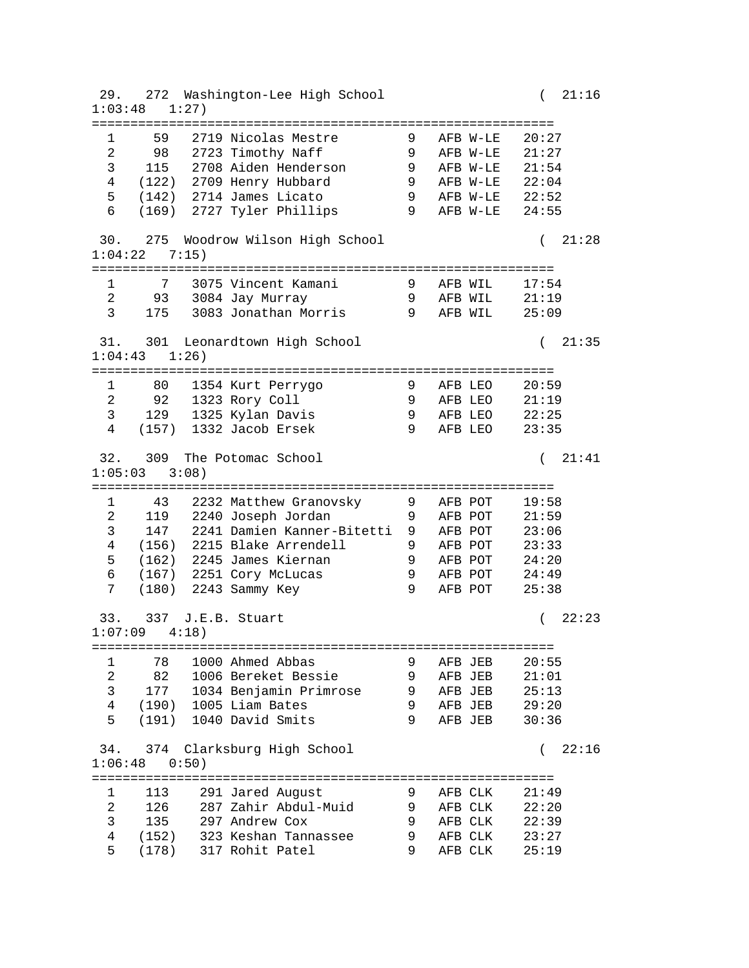29. 272 Washington-Lee High School ( 21:16 1:03:48 1:27) ============================================================ 1 59 2719 Nicolas Mestre 9 AFB W-LE 20:27 2 98 2723 Timothy Naff 9 AFB W-LE 21:27 3 115 2708 Aiden Henderson 9 AFB W-LE 21:54 4 (122) 2709 Henry Hubbard 9 AFB W-LE 22:04 5 (142) 2714 James Licato 9 AFB W-LE 22:52 6 (169) 2727 Tyler Phillips 9 AFB W-LE 24:55 30. 275 Woodrow Wilson High School ( 21:28 1:04:22 7:15) ============================================================ 1 7 3075 Vincent Kamani 9 AFB WIL 17:54 2 93 3084 Jay Murray 9 AFB WIL 21:19 3 175 3083 Jonathan Morris 9 AFB WIL 25:09 31. 301 Leonardtown High School ( 21:35 1:04:43 1:26) ============================================================ 1 80 1354 Kurt Perrygo 9 AFB LEO 20:59 2 92 1323 Rory Coll 9 AFB LEO 21:19 3 129 1325 Kylan Davis 9 AFB LEO 22:25 4 (157) 1332 Jacob Ersek 9 AFB LEO 23:35 32. 309 The Potomac School ( 21:41 1:05:03 3:08) ============================================================ 1 43 2232 Matthew Granovsky 9 AFB POT 19:58 2 119 2240 Joseph Jordan 9 AFB POT 21:59 3 147 2241 Damien Kanner-Bitetti 9 AFB POT 23:06 4 (156) 2215 Blake Arrendell 9 AFB POT 23:33 5 (162) 2245 James Kiernan 9 AFB POT 24:20 6 (167) 2251 Cory McLucas 9 AFB POT 24:49 7 (180) 2243 Sammy Key 9 AFB POT 25:38 33. 337 J.E.B. Stuart ( 22:23 1:07:09 4:18) ============================================================ 1 78 1000 Ahmed Abbas 9 AFB JEB 20:55 2 82 1006 Bereket Bessie 9 AFB JEB 21:01 3 177 1034 Benjamin Primrose 9 AFB JEB 25:13 4 (190) 1005 Liam Bates 9 AFB JEB 29:20 5 (191) 1040 David Smits 9 AFB JEB 30:36 34. 374 Clarksburg High School ( 22:16 1:06:48 0:50) ============================================================ 1 113 291 Jared August 9 AFB CLK 21:49 2 126 287 Zahir Abdul-Muid 9 AFB CLK 22:20 3 135 297 Andrew Cox 9 AFB CLK 22:39 4 (152) 323 Keshan Tannassee 9 AFB CLK 23:27 5 (178) 317 Rohit Patel 9 AFB CLK 25:19